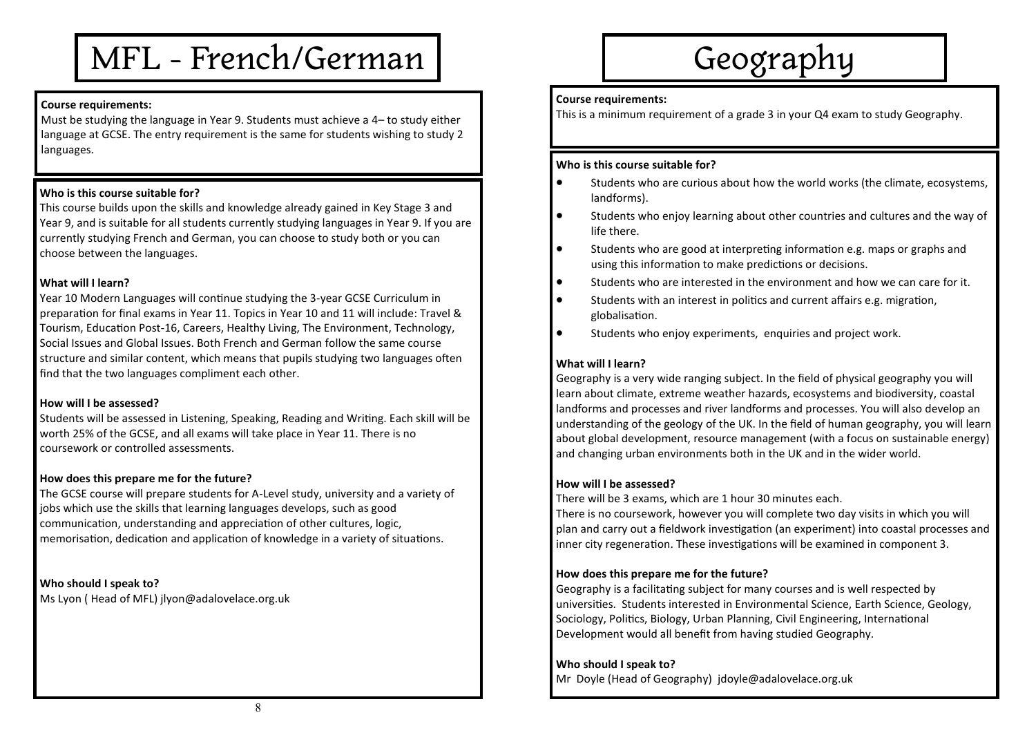# MFL - French/German

### **Course requirements:**

Must be studying the language in Year 9. Students must achieve a 4– to study either language at GCSE. The entry requirement is the same for students wishing to study 2 languages.

# **Who is this course suitable for?**

This course builds upon the skills and knowledge already gained in Key Stage 3 and Year 9, and is suitable for all students currently studying languages in Year 9. If you are currently studying French and German, you can choose to study both or you can choose between the languages.

### **What will I learn?**

Year 10 Modern Languages will continue studying the 3-year GCSE Curriculum in preparation for final exams in Year 11. Topics in Year 10 and 11 will include: Travel & Tourism, Education Post-16, Careers, Healthy Living, The Environment, Technology, Social Issues and Global Issues. Both French and German follow the same course structure and similar content, which means that pupils studying two languages often find that the two languages compliment each other.

#### **How will I be assessed?**

Students will be assessed in Listening, Speaking, Reading and Writing. Each skill will be worth 25% of the GCSE, and all exams will take place in Year 11. There is no coursework or controlled assessments.

#### **How does this prepare me for the future?**

The GCSE course will prepare students for A-Level study, university and a variety of jobs which use the skills that learning languages develops, such as good communication, understanding and appreciation of other cultures, logic, memorisation, dedication and application of knowledge in a variety of situations.

**Who should I speak to?** Ms Lyon ( Head of MFL) jlyon@adalovelace.org.uk

# Geography

#### **Course requirements:**

This is a minimum requirement of a grade 3 in your Q4 exam to study Geography.

#### **Who is this course suitable for?**

- Students who are curious about how the world works (the climate, ecosystems, landforms).
- Students who enjoy learning about other countries and cultures and the way of life there.
- Students who are good at interpreting information e.g. maps or graphs and using this information to make predictions or decisions.
- Students who are interested in the environment and how we can care for it.
- Students with an interest in politics and current affairs e.g. migration, globalisation.
- Students who enjoy experiments, enquiries and project work.

# **What will I learn?**

Geography is a very wide ranging subject. In the field of physical geography you will learn about climate, extreme weather hazards, ecosystems and biodiversity, coastal landforms and processes and river landforms and processes. You will also develop an understanding of the geology of the UK. In the field of human geography, you will learn about global development, resource management (with a focus on sustainable energy) and changing urban environments both in the UK and in the wider world.

#### **How will I be assessed?**

There will be 3 exams, which are 1 hour 30 minutes each.

There is no coursework, however you will complete two day visits in which you will plan and carry out a fieldwork investigation (an experiment) into coastal processes and inner city regeneration. These investigations will be examined in component 3.

#### **How does this prepare me for the future?**

Geography is a facilitating subject for many courses and is well respected by universities. Students interested in Environmental Science, Earth Science, Geology, Sociology, Politics, Biology, Urban Planning, Civil Engineering, International Development would all benefit from having studied Geography.

#### **Who should I speak to?**

Mr Doyle (Head of Geography) jdoyle@adalovelace.org.uk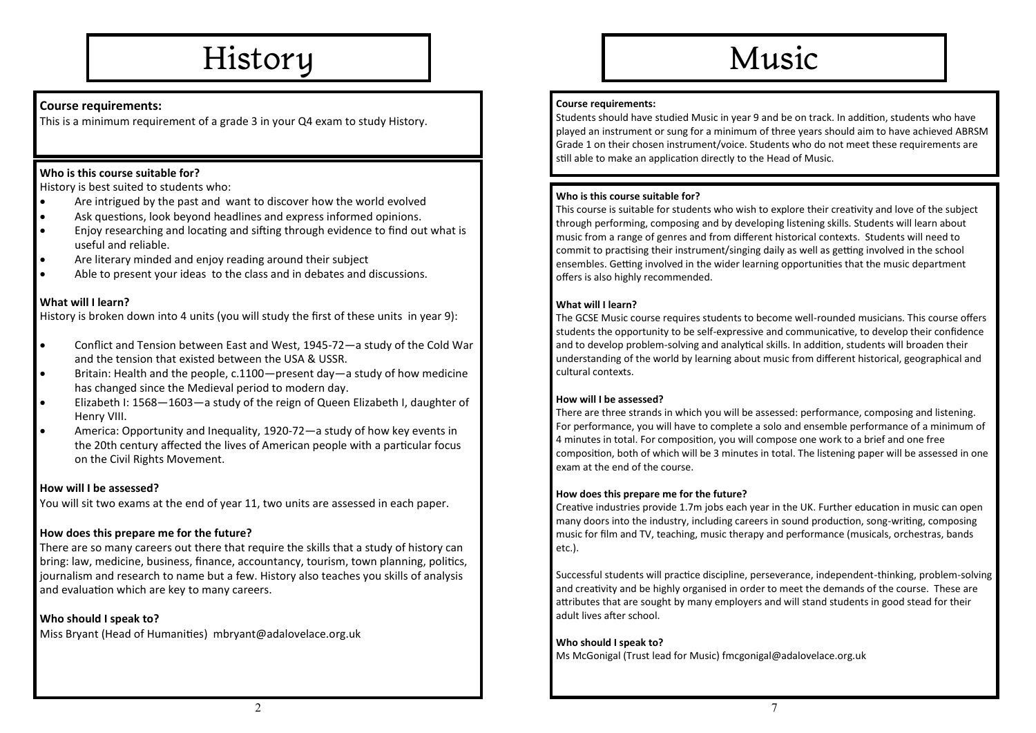# History

# **Course requirements:**

This is a minimum requirement of a grade 3 in your Q4 exam to study History.

# **Who is this course suitable for?**

History is best suited to students who:

- Are intrigued by the past and want to discover how the world evolved
- Ask questions, look beyond headlines and express informed opinions.
- Enjoy researching and locating and sifting through evidence to find out what is useful and reliable.
- Are literary minded and enjoy reading around their subject
- Able to present your ideas to the class and in debates and discussions.

# **What will I learn?**

History is broken down into 4 units (you will study the first of these units in year 9):

- Conflict and Tension between East and West, 1945-72—a study of the Cold War and the tension that existed between the USA & USSR.
- Britain: Health and the people, c.1100—present day—a study of how medicine has changed since the Medieval period to modern day.
- Elizabeth I: 1568—1603—a study of the reign of Queen Elizabeth I, daughter of Henry VIII.
- America: Opportunity and Inequality, 1920-72—a study of how key events in the 20th century affected the lives of American people with a particular focus on the Civil Rights Movement.

# **How will I be assessed?**

You will sit two exams at the end of year 11, two units are assessed in each paper.

# **How does this prepare me for the future?**

There are so many careers out there that require the skills that a study of history can bring: law, medicine, business, finance, accountancy, tourism, town planning, politics, journalism and research to name but a few. History also teaches you skills of analysis and evaluation which are key to many careers.

# **Who should I speak to?**

Miss Bryant (Head of Humanities) mbryant@adalovelace.org.uk

# Music

### **Course requirements:**

Students should have studied Music in year 9 and be on track. In addition, students who have played an instrument or sung for a minimum of three years should aim to have achieved ABRSM Grade 1 on their chosen instrument/voice. Students who do not meet these requirements are still able to make an application directly to the Head of Music.

# **Who is this course suitable for?**

This course is suitable for students who wish to explore their creativity and love of the subject through performing, composing and by developing listening skills. Students will learn about music from a range of genres and from different historical contexts. Students will need to commit to practising their instrument/singing daily as well as getting involved in the school ensembles. Getting involved in the wider learning opportunities that the music department offers is also highly recommended.

# **What will I learn?**

The GCSE Music course requires students to become well-rounded musicians. This course offers students the opportunity to be self-expressive and communicative, to develop their confidence and to develop problem-solving and analytical skills. In addition, students will broaden their understanding of the world by learning about music from different historical, geographical and cultural contexts.

# **How will I be assessed?**

There are three strands in which you will be assessed: performance, composing and listening. For performance, you will have to complete a solo and ensemble performance of a minimum of 4 minutes in total. For composition, you will compose one work to a brief and one free composition, both of which will be 3 minutes in total. The listening paper will be assessed in one exam at the end of the course.

# **How does this prepare me for the future?**

Creative industries provide 1.7m jobs each year in the UK. Further education in music can open many doors into the industry, including careers in sound production, song-writing, composing music for film and TV, teaching, music therapy and performance (musicals, orchestras, bands etc.).

Successful students will practice discipline, perseverance, independent-thinking, problem-solving and creativity and be highly organised in order to meet the demands of the course. These are attributes that are sought by many employers and will stand students in good stead for their adult lives after school.

# **Who should I speak to?**

Ms McGonigal (Trust lead for Music) fmcgonigal@adalovelace.org.uk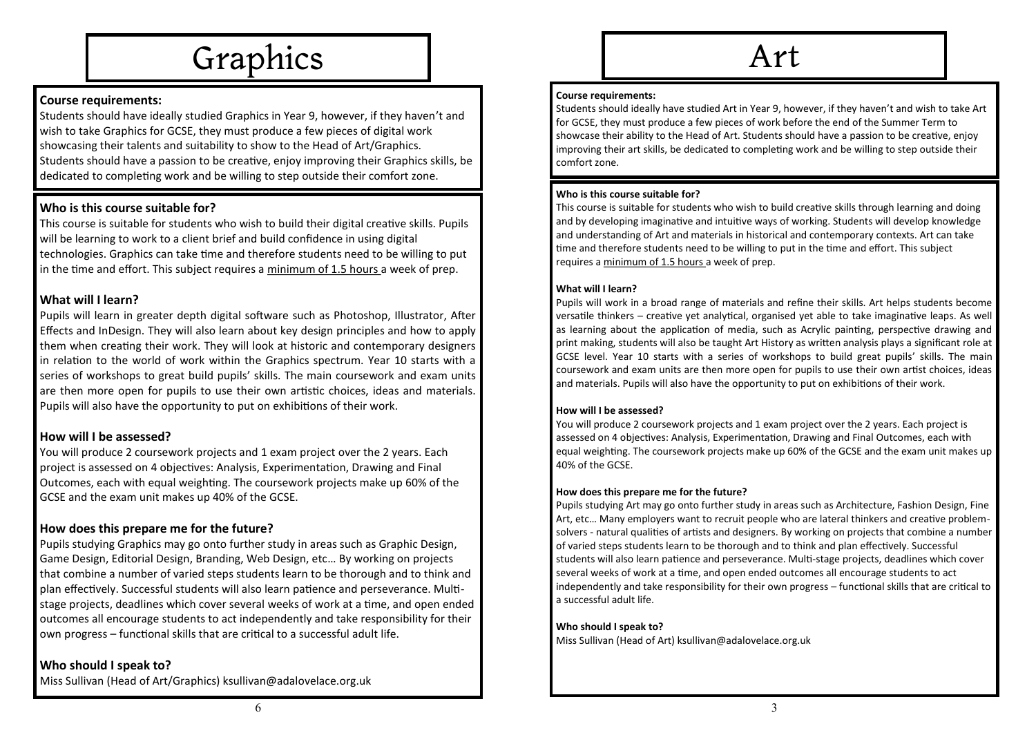

# **Course requirements:**

Students should have ideally studied Graphics in Year 9, however, if they haven't and wish to take Graphics for GCSE, they must produce a few pieces of digital work showcasing their talents and suitability to show to the Head of Art/Graphics. Students should have a passion to be creative, enjoy improving their Graphics skills, be dedicated to completing work and be willing to step outside their comfort zone.

# **Who is this course suitable for?**

This course is suitable for students who wish to build their digital creative skills. Pupils will be learning to work to a client brief and build confidence in using digital technologies. Graphics can take time and therefore students need to be willing to put in the time and effort. This subject requires a minimum of 1.5 hours a week of prep.

# **What will I learn?**

Pupils will learn in greater depth digital software such as Photoshop, Illustrator, After Effects and InDesign. They will also learn about key design principles and how to apply them when creating their work. They will look at historic and contemporary designers in relation to the world of work within the Graphics spectrum. Year 10 starts with a series of workshops to great build pupils' skills. The main coursework and exam units are then more open for pupils to use their own artistic choices, ideas and materials. Pupils will also have the opportunity to put on exhibitions of their work.

# **How will I be assessed?**

You will produce 2 coursework projects and 1 exam project over the 2 years. Each project is assessed on 4 objectives: Analysis, Experimentation, Drawing and Final Outcomes, each with equal weighting. The coursework projects make up 60% of the GCSE and the exam unit makes up 40% of the GCSE.

# **How does this prepare me for the future?**

Pupils studying Graphics may go onto further study in areas such as Graphic Design, Game Design, Editorial Design, Branding, Web Design, etc… By working on projects that combine a number of varied steps students learn to be thorough and to think and plan effectively. Successful students will also learn patience and perseverance. Multistage projects, deadlines which cover several weeks of work at a time, and open ended outcomes all encourage students to act independently and take responsibility for their own progress – functional skills that are critical to a successful adult life.

# **Who should I speak to?**

Miss Sullivan (Head of Art/Graphics) ksullivan@adalovelace.org.uk

# Art

#### **Course requirements:**

Students should ideally have studied Art in Year 9, however, if they haven't and wish to take Art for GCSE, they must produce a few pieces of work before the end of the Summer Term to showcase their ability to the Head of Art. Students should have a passion to be creative, enjoy improving their art skills, be dedicated to completing work and be willing to step outside their comfort zone.

#### **Who is this course suitable for?**

This course is suitable for students who wish to build creative skills through learning and doing and by developing imaginative and intuitive ways of working. Students will develop knowledge and understanding of Art and materials in historical and contemporary contexts. Art can take time and therefore students need to be willing to put in the time and effort. This subject requires a minimum of 1.5 hours a week of prep.

### **What will I learn?**

Pupils will work in a broad range of materials and refine their skills. Art helps students become versatile thinkers – creative yet analytical, organised yet able to take imaginative leaps. As well as learning about the application of media, such as Acrylic painting, perspective drawing and print making, students will also be taught Art History as written analysis plays a significant role at GCSE level. Year 10 starts with a series of workshops to build great pupils' skills. The main coursework and exam units are then more open for pupils to use their own artist choices, ideas and materials. Pupils will also have the opportunity to put on exhibitions of their work.

#### **How will I be assessed?**

You will produce 2 coursework projects and 1 exam project over the 2 years. Each project is assessed on 4 objectives: Analysis, Experimentation, Drawing and Final Outcomes, each with equal weighting. The coursework projects make up 60% of the GCSE and the exam unit makes up 40% of the GCSE.

#### **How does this prepare me for the future?**

Pupils studying Art may go onto further study in areas such as Architecture, Fashion Design, Fine Art, etc… Many employers want to recruit people who are lateral thinkers and creative problemsolvers - natural qualities of artists and designers. By working on projects that combine a number of varied steps students learn to be thorough and to think and plan effectively. Successful students will also learn patience and perseverance. Multi-stage projects, deadlines which cover several weeks of work at a time, and open ended outcomes all encourage students to act independently and take responsibility for their own progress – functional skills that are critical to a successful adult life.

#### **Who should I speak to?**

Miss Sullivan (Head of Art) ksullivan@adalovelace.org.uk